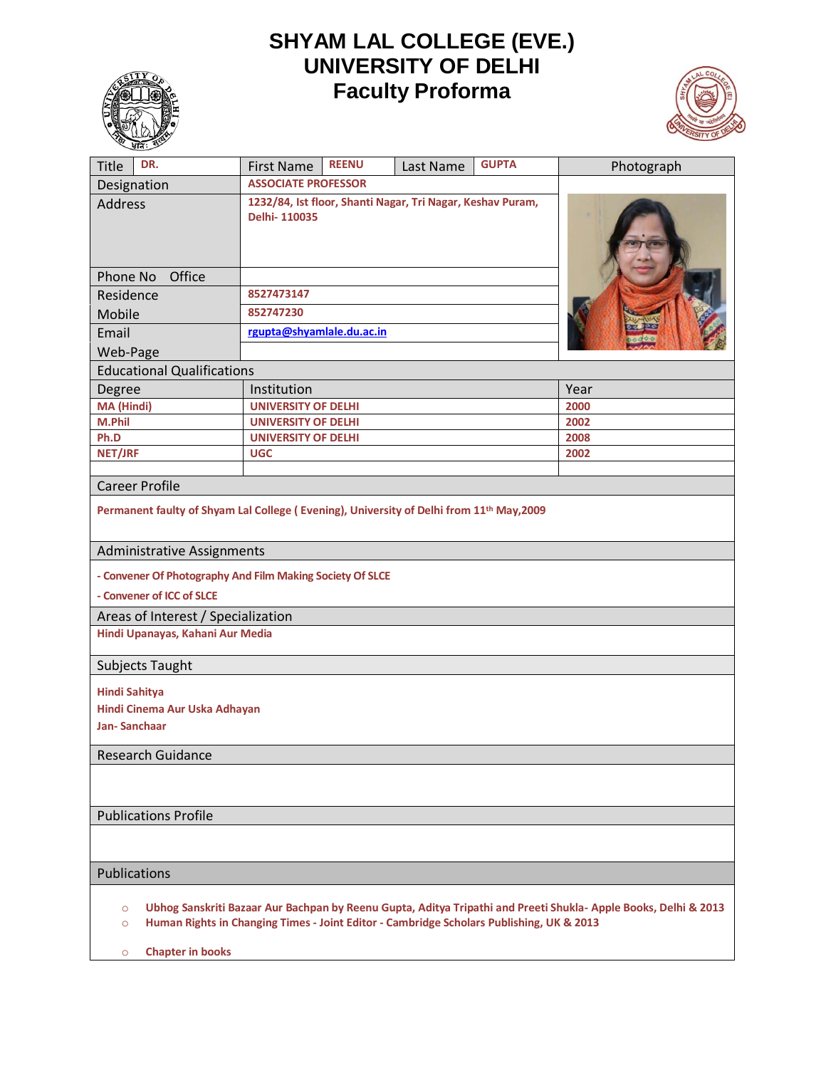## **SHYAM LAL COLLEGE (EVE.) UNIVERSITY OF DELHI Faculty Proforma**





| DR.<br>Title                                                                                                                                                                                                                      | <b>First Name</b>                                                          | <b>REENU</b> | Last Name | <b>GUPTA</b> | Photograph |
|-----------------------------------------------------------------------------------------------------------------------------------------------------------------------------------------------------------------------------------|----------------------------------------------------------------------------|--------------|-----------|--------------|------------|
| Designation                                                                                                                                                                                                                       | <b>ASSOCIATE PROFESSOR</b>                                                 |              |           |              |            |
| <b>Address</b>                                                                                                                                                                                                                    | 1232/84, Ist floor, Shanti Nagar, Tri Nagar, Keshav Puram,<br>Delhi-110035 |              |           |              |            |
| Office<br>Phone No                                                                                                                                                                                                                |                                                                            |              |           |              |            |
| Residence                                                                                                                                                                                                                         | 8527473147                                                                 |              |           |              |            |
| Mobile                                                                                                                                                                                                                            | 852747230                                                                  |              |           |              |            |
| Email                                                                                                                                                                                                                             | rgupta@shyamlale.du.ac.in                                                  |              |           |              |            |
| Web-Page                                                                                                                                                                                                                          |                                                                            |              |           |              |            |
| <b>Educational Qualifications</b>                                                                                                                                                                                                 |                                                                            |              |           |              |            |
| Degree                                                                                                                                                                                                                            | Institution                                                                |              |           |              | Year       |
| <b>MA (Hindi)</b>                                                                                                                                                                                                                 | <b>UNIVERSITY OF DELHI</b>                                                 |              |           |              | 2000       |
| M.Phil                                                                                                                                                                                                                            | <b>UNIVERSITY OF DELHI</b>                                                 |              |           |              | 2002       |
| Ph.D                                                                                                                                                                                                                              | <b>UNIVERSITY OF DELHI</b>                                                 |              |           |              | 2008       |
| NET/JRF                                                                                                                                                                                                                           | <b>UGC</b>                                                                 |              |           |              | 2002       |
| <b>Career Profile</b>                                                                                                                                                                                                             |                                                                            |              |           |              |            |
| Permanent faulty of Shyam Lal College (Evening), University of Delhi from 11 <sup>th</sup> May, 2009                                                                                                                              |                                                                            |              |           |              |            |
| Administrative Assignments                                                                                                                                                                                                        |                                                                            |              |           |              |            |
| - Convener Of Photography And Film Making Society Of SLCE<br>- Convener of ICC of SLCE                                                                                                                                            |                                                                            |              |           |              |            |
| Areas of Interest / Specialization                                                                                                                                                                                                |                                                                            |              |           |              |            |
| Hindi Upanayas, Kahani Aur Media                                                                                                                                                                                                  |                                                                            |              |           |              |            |
| Subjects Taught                                                                                                                                                                                                                   |                                                                            |              |           |              |            |
| <b>Hindi Sahitya</b>                                                                                                                                                                                                              |                                                                            |              |           |              |            |
| Hindi Cinema Aur Uska Adhayan                                                                                                                                                                                                     |                                                                            |              |           |              |            |
| Jan-Sanchaar                                                                                                                                                                                                                      |                                                                            |              |           |              |            |
| Research Guidance                                                                                                                                                                                                                 |                                                                            |              |           |              |            |
|                                                                                                                                                                                                                                   |                                                                            |              |           |              |            |
| <b>Publications Profile</b>                                                                                                                                                                                                       |                                                                            |              |           |              |            |
|                                                                                                                                                                                                                                   |                                                                            |              |           |              |            |
| <b>Publications</b>                                                                                                                                                                                                               |                                                                            |              |           |              |            |
| Ubhog Sanskriti Bazaar Aur Bachpan by Reenu Gupta, Aditya Tripathi and Preeti Shukla- Apple Books, Delhi & 2013<br>$\circ$<br>Human Rights in Changing Times - Joint Editor - Cambridge Scholars Publishing, UK & 2013<br>$\circ$ |                                                                            |              |           |              |            |
| <b>Chapter in books</b><br>$\circ$                                                                                                                                                                                                |                                                                            |              |           |              |            |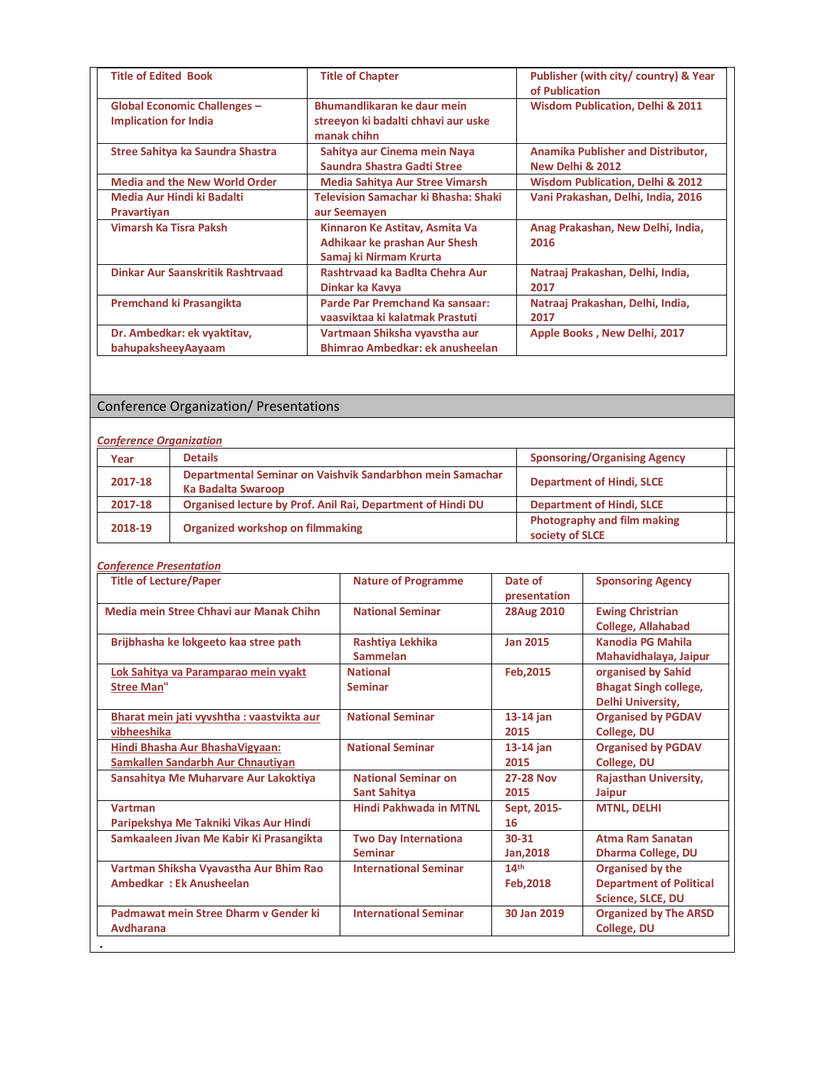| <b>Title of Edited Book</b>                                         | <b>Title of Chapter</b>                                                                   | Publisher (with city/ country) & Year<br>of Publication |  |
|---------------------------------------------------------------------|-------------------------------------------------------------------------------------------|---------------------------------------------------------|--|
| <b>Global Economic Challenges -</b><br><b>Implication for India</b> | Bhumandlikaran ke daur mein<br>streeyon ki badalti chhavi aur uske<br>manak chihn         | <b>Wisdom Publication, Delhi &amp; 2011</b>             |  |
| Stree Sahitya ka Saundra Shastra                                    | Sahitya aur Cinema mein Naya<br>Saundra Shastra Gadti Stree                               | Anamika Publisher and Distributor,<br>New Delhi & 2012  |  |
| <b>Media and the New World Order</b>                                | <b>Media Sahitya Aur Stree Vimarsh</b>                                                    | <b>Wisdom Publication, Delhi &amp; 2012</b>             |  |
| Media Aur Hindi ki Badalti<br>Pravartiyan                           | Television Samachar ki Bhasha: Shaki<br>aur Seemayen                                      | Vani Prakashan, Delhi, India, 2016                      |  |
| <b>Vimarsh Ka Tisra Paksh</b>                                       | Kinnaron Ke Astitav, Asmita Va<br>Adhikaar ke prashan Aur Shesh<br>Samaj ki Nirmam Krurta | Anag Prakashan, New Delhi, India,<br>2016               |  |
| Dinkar Aur Saanskritik Rashtryaad                                   | Rashtryaad ka Badlta Chehra Aur<br>Dinkar ka Kavya                                        | Natraaj Prakashan, Delhi, India,<br>2017                |  |
| <b>Premchand ki Prasangikta</b>                                     | Parde Par Premchand Ka sansaar:<br>vaasviktaa ki kalatmak Prastuti                        | Natraaj Prakashan, Delhi, India,<br>2017                |  |
| Dr. Ambedkar: ek vyaktitav,<br>bahupaksheeyAayaam                   | Vartmaan Shiksha vyavstha aur<br>Bhimrao Ambedkar: ek anusheelan                          | Apple Books, New Delhi, 2017                            |  |

## Conference Organization/ Presentations

## *Conference Organization*

| Year    | <b>Details</b>                                                                  | <b>Sponsoring/Organising Agency</b>                   |
|---------|---------------------------------------------------------------------------------|-------------------------------------------------------|
| 2017-18 | Departmental Seminar on Vaishvik Sandarbhon mein Samachar<br>Ka Badalta Swaroop | <b>Department of Hindi, SLCE</b>                      |
| 2017-18 | Organised lecture by Prof. Anil Rai, Department of Hindi DU                     | <b>Department of Hindi, SLCE</b>                      |
| 2018-19 | Organized workshop on filmmaking                                                | <b>Photography and film making</b><br>society of SLCE |

*Conference Presentation*

| <b>Title of Lecture/Paper</b>                                        | <b>Nature of Programme</b>                        | Date of<br>presentation       | <b>Sponsoring Agency</b>                                                       |
|----------------------------------------------------------------------|---------------------------------------------------|-------------------------------|--------------------------------------------------------------------------------|
| Media mein Stree Chhavi aur Manak Chihn                              | <b>National Seminar</b>                           | 28Aug 2010                    | <b>Ewing Christrian</b><br><b>College, Allahabad</b>                           |
| Brijbhasha ke lokgeeto kaa stree path                                | Rashtiya Lekhika<br><b>Sammelan</b>               | <b>Jan 2015</b>               | Kanodia PG Mahila<br>Mahavidhalaya, Jaipur                                     |
| Lok Sahitya va Paramparao mein vyakt<br><b>Stree Man"</b>            | <b>National</b><br><b>Seminar</b>                 | Feb, 2015                     | organised by Sahid<br><b>Bhagat Singh college,</b><br>Delhi University,        |
| Bharat mein jati vyvshtha : vaastvikta aur<br>vibheeshika            | <b>National Seminar</b>                           | 13-14 jan<br>2015             | <b>Organised by PGDAV</b><br>College, DU                                       |
| Hindi Bhasha Aur BhashaVigyaan:<br>Samkallen Sandarbh Aur Chnautiyan | <b>National Seminar</b>                           | 13-14 jan<br>2015             | <b>Organised by PGDAV</b><br>College, DU                                       |
| Sansahitya Me Muharvare Aur Lakoktiya                                | <b>National Seminar on</b><br><b>Sant Sahitya</b> | <b>27-28 Nov</b><br>2015      | <b>Rajasthan University,</b><br><b>Jaipur</b>                                  |
| Vartman<br>Paripekshya Me Takniki Vikas Aur Hindi                    | <b>Hindi Pakhwada in MTNL</b>                     | Sept, 2015-<br>16             | <b>MTNL, DELHI</b>                                                             |
| Samkaaleen Jivan Me Kabir Ki Prasangikta                             | <b>Two Day Internationa</b><br><b>Seminar</b>     | 30-31<br>Jan, 2018            | <b>Atma Ram Sanatan</b><br><b>Dharma College, DU</b>                           |
| Vartman Shiksha Vyavastha Aur Bhim Rao<br>Ambedkar: Ek Anusheelan    | <b>International Seminar</b>                      | 14 <sup>th</sup><br>Feb, 2018 | <b>Organised by the</b><br><b>Department of Political</b><br>Science, SLCE, DU |
| Padmawat mein Stree Dharm v Gender ki<br>Avdharana                   | <b>International Seminar</b>                      | 30 Jan 2019                   | <b>Organized by The ARSD</b><br>College, DU                                    |